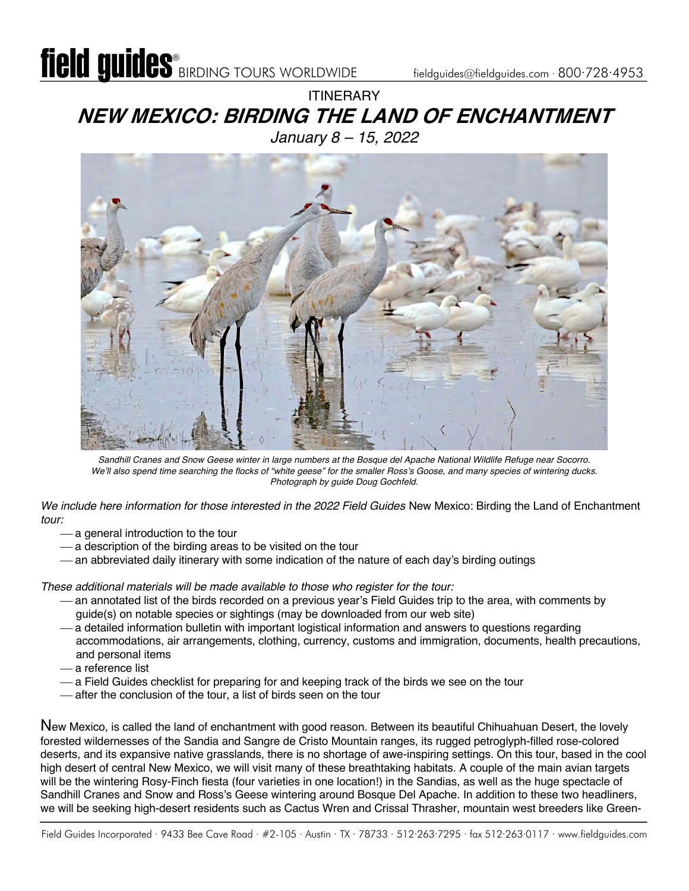**ITINFRARY NEW MEXICO: BIRDING THE LAND OF ENCHANTMENT** *January 8 – 15, 2022*



*Sandhill Cranes and Snow Geese winter in large numbers at the Bosque del Apache National Wildlife Refuge near Socorro. We'll also spend time searching the flocks of "white geese" for the smaller Ross's Goose, and many species of wintering ducks. Photograph by guide Doug Gochfeld.*

*We include here information for those interested in the 2022 Field Guides* New Mexico: Birding the Land of Enchantment *tour:*

- a general introduction to the tour
- $-$  a description of the birding areas to be visited on the tour
- an abbreviated daily itinerary with some indication of the nature of each day's birding outings

*These additional materials will be made available to those who register for the tour:*

- ¾ an annotated list of the birds recorded on a previous year's Field Guides trip to the area, with comments by guide(s) on notable species or sightings (may be downloaded from our web site)
- ¾ a detailed information bulletin with important logistical information and answers to questions regarding accommodations, air arrangements, clothing, currency, customs and immigration, documents, health precautions, and personal items
- ¾ a reference list
- a Field Guides checklist for preparing for and keeping track of the birds we see on the tour
- after the conclusion of the tour, a list of birds seen on the tour

New Mexico, is called the land of enchantment with good reason. Between its beautiful Chihuahuan Desert, the lovely forested wildernesses of the Sandia and Sangre de Cristo Mountain ranges, its rugged petroglyph-filled rose-colored deserts, and its expansive native grasslands, there is no shortage of awe-inspiring settings. On this tour, based in the cool high desert of central New Mexico, we will visit many of these breathtaking habitats. A couple of the main avian targets will be the wintering Rosy-Finch fiesta (four varieties in one location!) in the Sandias, as well as the huge spectacle of Sandhill Cranes and Snow and Ross's Geese wintering around Bosque Del Apache. In addition to these two headliners, we will be seeking high-desert residents such as Cactus Wren and Crissal Thrasher, mountain west breeders like Green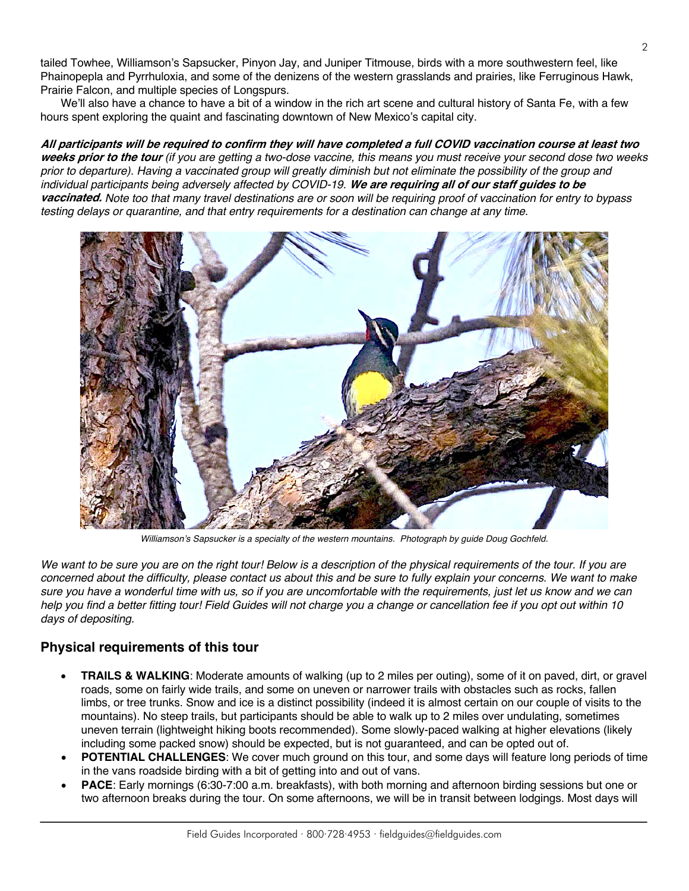tailed Towhee, Williamson's Sapsucker, Pinyon Jay, and Juniper Titmouse, birds with a more southwestern feel, like Phainopepla and Pyrrhuloxia, and some of the denizens of the western grasslands and prairies, like Ferruginous Hawk, Prairie Falcon, and multiple species of Longspurs.

We'll also have a chance to have a bit of a window in the rich art scene and cultural history of Santa Fe, with a few hours spent exploring the quaint and fascinating downtown of New Mexico's capital city.

**All participants will be required to confirm they will have completed a full COVID vaccination course at least two weeks prior to the tour** *(if you are getting a two-dose vaccine, this means you must receive your second dose two weeks prior to departure). Having a vaccinated group will greatly diminish but not eliminate the possibility of the group and individual participants being adversely affected by COVID-19.* **We are requiring all of our staff guides to be vaccinated.** *Note too that many travel destinations are or soon will be requiring proof of vaccination for entry to bypass testing delays or quarantine, and that entry requirements for a destination can change at any time.*



*Williamson's Sapsucker is a specialty of the western mountains. Photograph by guide Doug Gochfeld.*

We want to be sure you are on the right tour! Below is a description of the physical requirements of the tour. If you are *concerned about the difficulty, please contact us about this and be sure to fully explain your concerns. We want to make sure you have a wonderful time with us, so if you are uncomfortable with the requirements, just let us know and we can help you find a better fitting tour! Field Guides will not charge you a change or cancellation fee if you opt out within 10 days of depositing.*

#### **Physical requirements of this tour**

- **TRAILS & WALKING**: Moderate amounts of walking (up to 2 miles per outing), some of it on paved, dirt, or gravel roads, some on fairly wide trails, and some on uneven or narrower trails with obstacles such as rocks, fallen limbs, or tree trunks. Snow and ice is a distinct possibility (indeed it is almost certain on our couple of visits to the mountains). No steep trails, but participants should be able to walk up to 2 miles over undulating, sometimes uneven terrain (lightweight hiking boots recommended). Some slowly-paced walking at higher elevations (likely including some packed snow) should be expected, but is not guaranteed, and can be opted out of.
- **POTENTIAL CHALLENGES**: We cover much ground on this tour, and some days will feature long periods of time in the vans roadside birding with a bit of getting into and out of vans.
- **PACE**: Early mornings (6:30-7:00 a.m. breakfasts), with both morning and afternoon birding sessions but one or two afternoon breaks during the tour. On some afternoons, we will be in transit between lodgings. Most days will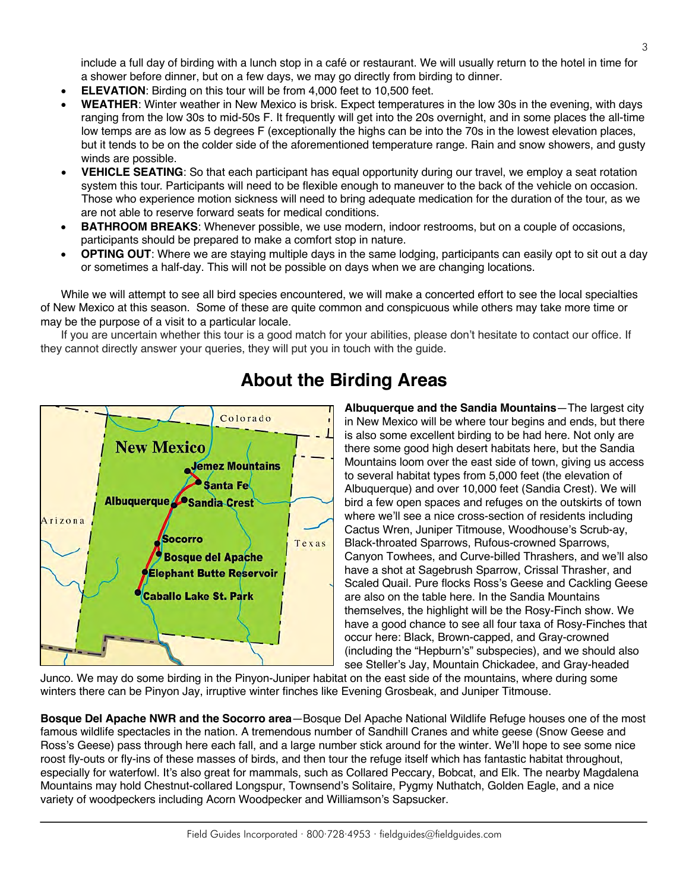**Bosque Del Apache NWR and the Socorro area**—Bosque Del Apache National Wildlife Refuge houses one of the most famous wildlife spectacles in the nation. A tremendous number of Sandhill Cranes and white geese (Snow Geese and Ross's Geese) pass through here each fall, and a large number stick around for the winter. We'll hope to see some nice roost fly-outs or fly-ins of these masses of birds, and then tour the refuge itself which has fantastic habitat throughout, especially for waterfowl. It's also great for mammals, such as Collared Peccary, Bobcat, and Elk. The nearby Magdalena Mountains may hold Chestnut-collared Longspur, Townsend's Solitaire, Pygmy Nuthatch, Golden Eagle, and a nice variety of woodpeckers including Acorn Woodpecker and Williamson's Sapsucker.

Junco. We may do some birding in the Pinyon-Juniper habitat on the east side of the mountains, where during some

winters there can be Pinyon Jay, irruptive winter finches like Evening Grosbeak, and Juniper Titmouse.

#### include a full day of birding with a lunch stop in a café or restaurant. We will usually return to the hotel in time for a shower before dinner, but on a few days, we may go directly from birding to dinner.

- **ELEVATION:** Birding on this tour will be from 4,000 feet to 10,500 feet.
- **WEATHER**: Winter weather in New Mexico is brisk. Expect temperatures in the low 30s in the evening, with days ranging from the low 30s to mid-50s F. It frequently will get into the 20s overnight, and in some places the all-time low temps are as low as 5 degrees F (exceptionally the highs can be into the 70s in the lowest elevation places, but it tends to be on the colder side of the aforementioned temperature range. Rain and snow showers, and gusty winds are possible.
- **VEHICLE SEATING**: So that each participant has equal opportunity during our travel, we employ a seat rotation system this tour. Participants will need to be flexible enough to maneuver to the back of the vehicle on occasion. Those who experience motion sickness will need to bring adequate medication for the duration of the tour, as we are not able to reserve forward seats for medical conditions.
- **BATHROOM BREAKS**: Whenever possible, we use modern, indoor restrooms, but on a couple of occasions, participants should be prepared to make a comfort stop in nature.
- **OPTING OUT**: Where we are staying multiple days in the same lodging, participants can easily opt to sit out a day or sometimes a half-day. This will not be possible on days when we are changing locations.

While we will attempt to see all bird species encountered, we will make a concerted effort to see the local specialties of New Mexico at this season. Some of these are quite common and conspicuous while others may take more time or may be the purpose of a visit to a particular locale.

If you are uncertain whether this tour is a good match for your abilities, please don't hesitate to contact our office. If they cannot directly answer your queries, they will put you in touch with the guide.



### **About the Birding Areas**

**Albuquerque and the Sandia Mountains**—The largest city in New Mexico will be where tour begins and ends, but there is also some excellent birding to be had here. Not only are there some good high desert habitats here, but the Sandia Mountains loom over the east side of town, giving us access to several habitat types from 5,000 feet (the elevation of Albuquerque) and over 10,000 feet (Sandia Crest). We will bird a few open spaces and refuges on the outskirts of town where we'll see a nice cross-section of residents including Cactus Wren, Juniper Titmouse, Woodhouse's Scrub-ay, Black-throated Sparrows, Rufous-crowned Sparrows, Canyon Towhees, and Curve-billed Thrashers, and we'll also have a shot at Sagebrush Sparrow, Crissal Thrasher, and Scaled Quail. Pure flocks Ross's Geese and Cackling Geese are also on the table here. In the Sandia Mountains themselves, the highlight will be the Rosy-Finch show. We have a good chance to see all four taxa of Rosy-Finches that occur here: Black, Brown-capped, and Gray-crowned (including the "Hepburn's" subspecies), and we should also see Steller's Jay, Mountain Chickadee, and Gray-headed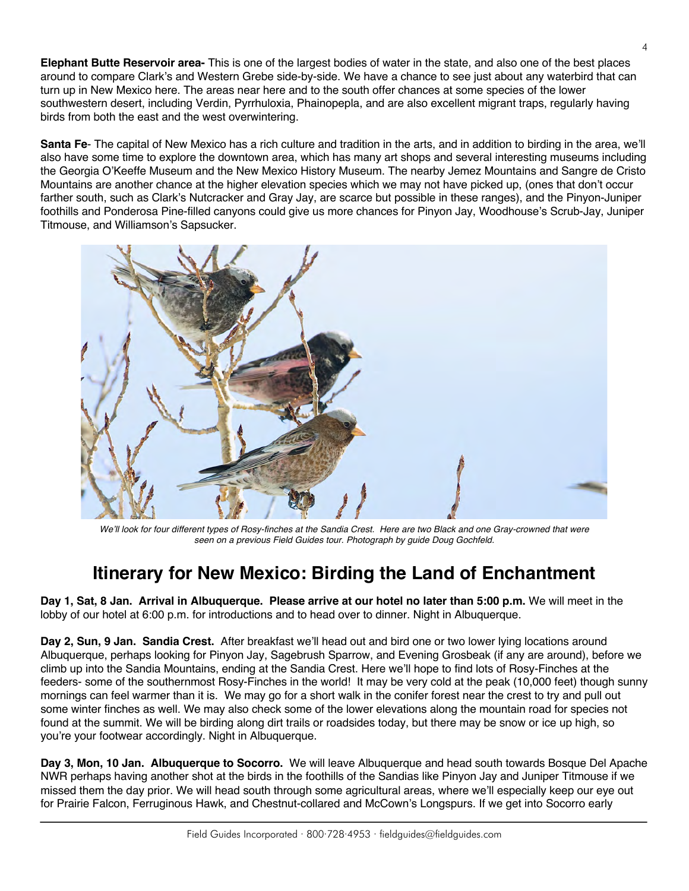**Elephant Butte Reservoir area-** This is one of the largest bodies of water in the state, and also one of the best places around to compare Clark's and Western Grebe side-by-side. We have a chance to see just about any waterbird that can turn up in New Mexico here. The areas near here and to the south offer chances at some species of the lower southwestern desert, including Verdin, Pyrrhuloxia, Phainopepla, and are also excellent migrant traps, regularly having birds from both the east and the west overwintering.

**Santa Fe**- The capital of New Mexico has a rich culture and tradition in the arts, and in addition to birding in the area, we'll also have some time to explore the downtown area, which has many art shops and several interesting museums including the Georgia O'Keeffe Museum and the New Mexico History Museum. The nearby Jemez Mountains and Sangre de Cristo Mountains are another chance at the higher elevation species which we may not have picked up, (ones that don't occur farther south, such as Clark's Nutcracker and Gray Jay, are scarce but possible in these ranges), and the Pinyon-Juniper foothills and Ponderosa Pine-filled canyons could give us more chances for Pinyon Jay, Woodhouse's Scrub-Jay, Juniper Titmouse, and Williamson's Sapsucker.



*We'll look for four different types of Rosy-finches at the Sandia Crest. Here are two Black and one Gray-crowned that were seen on a previous Field Guides tour. Photograph by guide Doug Gochfeld.*

# **Itinerary for New Mexico: Birding the Land of Enchantment**

**Day 1, Sat, 8 Jan. Arrival in Albuquerque. Please arrive at our hotel no later than 5:00 p.m.** We will meet in the lobby of our hotel at 6:00 p.m. for introductions and to head over to dinner. Night in Albuquerque.

**Day 2, Sun, 9 Jan. Sandia Crest.** After breakfast we'll head out and bird one or two lower lying locations around Albuquerque, perhaps looking for Pinyon Jay, Sagebrush Sparrow, and Evening Grosbeak (if any are around), before we climb up into the Sandia Mountains, ending at the Sandia Crest. Here we'll hope to find lots of Rosy-Finches at the feeders- some of the southernmost Rosy-Finches in the world! It may be very cold at the peak (10,000 feet) though sunny mornings can feel warmer than it is. We may go for a short walk in the conifer forest near the crest to try and pull out some winter finches as well. We may also check some of the lower elevations along the mountain road for species not found at the summit. We will be birding along dirt trails or roadsides today, but there may be snow or ice up high, so you're your footwear accordingly. Night in Albuquerque.

**Day 3, Mon, 10 Jan. Albuquerque to Socorro.** We will leave Albuquerque and head south towards Bosque Del Apache NWR perhaps having another shot at the birds in the foothills of the Sandias like Pinyon Jay and Juniper Titmouse if we missed them the day prior. We will head south through some agricultural areas, where we'll especially keep our eye out for Prairie Falcon, Ferruginous Hawk, and Chestnut-collared and McCown's Longspurs. If we get into Socorro early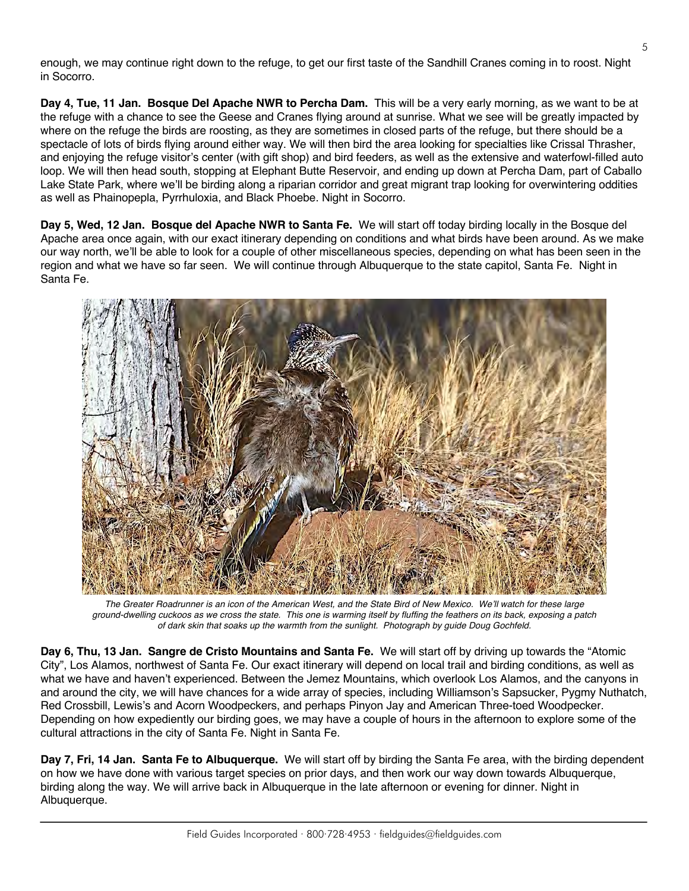enough, we may continue right down to the refuge, to get our first taste of the Sandhill Cranes coming in to roost. Night in Socorro.

**Day 4, Tue, 11 Jan. Bosque Del Apache NWR to Percha Dam.** This will be a very early morning, as we want to be at the refuge with a chance to see the Geese and Cranes flying around at sunrise. What we see will be greatly impacted by where on the refuge the birds are roosting, as they are sometimes in closed parts of the refuge, but there should be a spectacle of lots of birds flying around either way. We will then bird the area looking for specialties like Crissal Thrasher, and enjoying the refuge visitor's center (with gift shop) and bird feeders, as well as the extensive and waterfowl-filled auto loop. We will then head south, stopping at Elephant Butte Reservoir, and ending up down at Percha Dam, part of Caballo Lake State Park, where we'll be birding along a riparian corridor and great migrant trap looking for overwintering oddities as well as Phainopepla, Pyrrhuloxia, and Black Phoebe. Night in Socorro.

**Day 5, Wed, 12 Jan. Bosque del Apache NWR to Santa Fe.** We will start off today birding locally in the Bosque del Apache area once again, with our exact itinerary depending on conditions and what birds have been around. As we make our way north, we'll be able to look for a couple of other miscellaneous species, depending on what has been seen in the region and what we have so far seen. We will continue through Albuquerque to the state capitol, Santa Fe. Night in Santa Fe.



*The Greater Roadrunner is an icon of the American West, and the State Bird of New Mexico. We'll watch for these large ground-dwelling cuckoos as we cross the state. This one is warming itself by fluffing the feathers on its back, exposing a patch of dark skin that soaks up the warmth from the sunlight. Photograph by guide Doug Gochfeld.*

**Day 6, Thu, 13 Jan. Sangre de Cristo Mountains and Santa Fe.** We will start off by driving up towards the "Atomic City", Los Alamos, northwest of Santa Fe. Our exact itinerary will depend on local trail and birding conditions, as well as what we have and haven't experienced. Between the Jemez Mountains, which overlook Los Alamos, and the canyons in and around the city, we will have chances for a wide array of species, including Williamson's Sapsucker, Pygmy Nuthatch, Red Crossbill, Lewis's and Acorn Woodpeckers, and perhaps Pinyon Jay and American Three-toed Woodpecker. Depending on how expediently our birding goes, we may have a couple of hours in the afternoon to explore some of the cultural attractions in the city of Santa Fe. Night in Santa Fe.

**Day 7, Fri, 14 Jan. Santa Fe to Albuquerque.** We will start off by birding the Santa Fe area, with the birding dependent on how we have done with various target species on prior days, and then work our way down towards Albuquerque, birding along the way. We will arrive back in Albuquerque in the late afternoon or evening for dinner. Night in Albuquerque.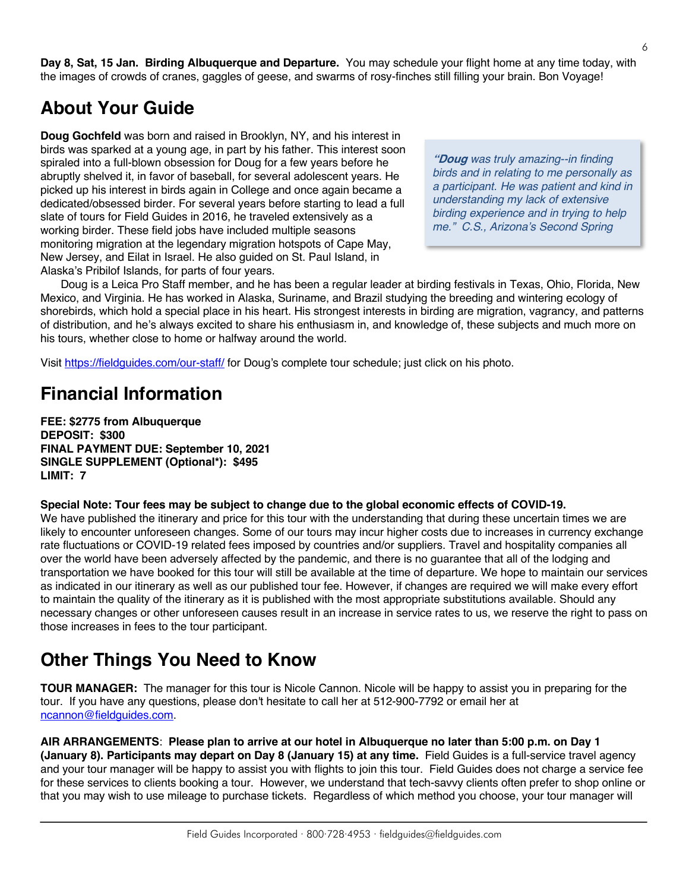**Day 8, Sat, 15 Jan. Birding Albuquerque and Departure.** You may schedule your flight home at any time today, with the images of crowds of cranes, gaggles of geese, and swarms of rosy-finches still filling your brain. Bon Voyage!

### **About Your Guide**

**Doug Gochfeld** was born and raised in Brooklyn, NY, and his interest in birds was sparked at a young age, in part by his father. This interest soon spiraled into a full-blown obsession for Doug for a few years before he abruptly shelved it, in favor of baseball, for several adolescent years. He picked up his interest in birds again in College and once again became a dedicated/obsessed birder. For several years before starting to lead a full slate of tours for Field Guides in 2016, he traveled extensively as a working birder. These field jobs have included multiple seasons monitoring migration at the legendary migration hotspots of Cape May, New Jersey, and Eilat in Israel. He also guided on St. Paul Island, in Alaska's Pribilof Islands, for parts of four years.

**"Doug** *was truly amazing--in finding birds and in relating to me personally as a participant. He was patient and kind in understanding my lack of extensive birding experience and in trying to help me." C.S., Arizona's Second Spring*

Doug is a Leica Pro Staff member, and he has been a regular leader at birding festivals in Texas, Ohio, Florida, New Mexico, and Virginia. He has worked in Alaska, Suriname, and Brazil studying the breeding and wintering ecology of shorebirds, which hold a special place in his heart. His strongest interests in birding are migration, vagrancy, and patterns of distribution, and he's always excited to share his enthusiasm in, and knowledge of, these subjects and much more on his tours, whether close to home or halfway around the world.

Visit https://fieldguides.com/our-staff/ for Doug's complete tour schedule; just click on his photo.

## **Financial Information**

**FEE: \$2775 from Albuquerque DEPOSIT: \$300 FINAL PAYMENT DUE: September 10, 2021 SINGLE SUPPLEMENT (Optional\*): \$495 LIMIT: 7**

#### **Special Note: Tour fees may be subject to change due to the global economic effects of COVID-19.**

We have published the itinerary and price for this tour with the understanding that during these uncertain times we are likely to encounter unforeseen changes. Some of our tours may incur higher costs due to increases in currency exchange rate fluctuations or COVID-19 related fees imposed by countries and/or suppliers. Travel and hospitality companies all over the world have been adversely affected by the pandemic, and there is no guarantee that all of the lodging and transportation we have booked for this tour will still be available at the time of departure. We hope to maintain our services as indicated in our itinerary as well as our published tour fee. However, if changes are required we will make every effort to maintain the quality of the itinerary as it is published with the most appropriate substitutions available. Should any necessary changes or other unforeseen causes result in an increase in service rates to us, we reserve the right to pass on those increases in fees to the tour participant.

#### **Other Things You Need to Know**

**TOUR MANAGER:** The manager for this tour is Nicole Cannon. Nicole will be happy to assist you in preparing for the tour. If you have any questions, please don't hesitate to call her at 512-900-7792 or email her at ncannon@fieldguides.com.

**AIR ARRANGEMENTS**: **Please plan to arrive at our hotel in Albuquerque no later than 5:00 p.m. on Day 1 (January 8). Participants may depart on Day 8 (January 15) at any time.** Field Guides is a full-service travel agency and your tour manager will be happy to assist you with flights to join this tour. Field Guides does not charge a service fee for these services to clients booking a tour. However, we understand that tech-savvy clients often prefer to shop online or that you may wish to use mileage to purchase tickets. Regardless of which method you choose, your tour manager will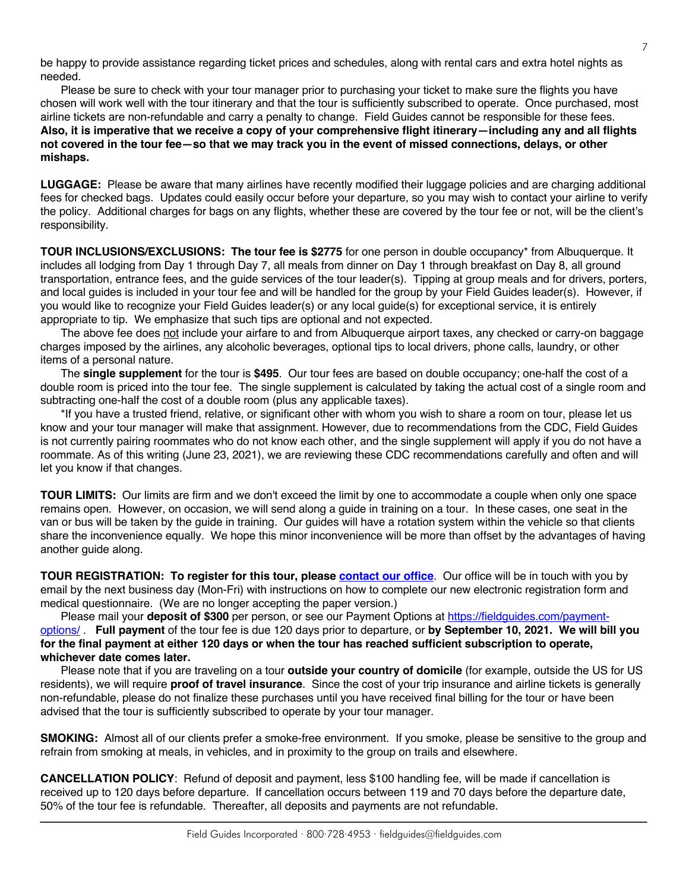be happy to provide assistance regarding ticket prices and schedules, along with rental cars and extra hotel nights as needed.

Please be sure to check with your tour manager prior to purchasing your ticket to make sure the flights you have chosen will work well with the tour itinerary and that the tour is sufficiently subscribed to operate. Once purchased, most airline tickets are non-refundable and carry a penalty to change. Field Guides cannot be responsible for these fees. **Also, it is imperative that we receive a copy of your comprehensive flight itinerary—including any and all flights not covered in the tour fee—so that we may track you in the event of missed connections, delays, or other mishaps.**

**LUGGAGE:** Please be aware that many airlines have recently modified their luggage policies and are charging additional fees for checked bags. Updates could easily occur before your departure, so you may wish to contact your airline to verify the policy. Additional charges for bags on any flights, whether these are covered by the tour fee or not, will be the client's responsibility.

**TOUR INCLUSIONS/EXCLUSIONS: The tour fee is \$2775** for one person in double occupancy\* from Albuquerque. It includes all lodging from Day 1 through Day 7, all meals from dinner on Day 1 through breakfast on Day 8, all ground transportation, entrance fees, and the guide services of the tour leader(s). Tipping at group meals and for drivers, porters, and local guides is included in your tour fee and will be handled for the group by your Field Guides leader(s). However, if you would like to recognize your Field Guides leader(s) or any local guide(s) for exceptional service, it is entirely appropriate to tip. We emphasize that such tips are optional and not expected.

The above fee does not include your airfare to and from Albuquerque airport taxes, any checked or carry-on baggage charges imposed by the airlines, any alcoholic beverages, optional tips to local drivers, phone calls, laundry, or other items of a personal nature.

The **single supplement** for the tour is **\$495**. Our tour fees are based on double occupancy; one-half the cost of a double room is priced into the tour fee. The single supplement is calculated by taking the actual cost of a single room and subtracting one-half the cost of a double room (plus any applicable taxes).

\*If you have a trusted friend, relative, or significant other with whom you wish to share a room on tour, please let us know and your tour manager will make that assignment. However, due to recommendations from the CDC, Field Guides is not currently pairing roommates who do not know each other, and the single supplement will apply if you do not have a roommate. As of this writing (June 23, 2021), we are reviewing these CDC recommendations carefully and often and will let you know if that changes.

**TOUR LIMITS:** Our limits are firm and we don't exceed the limit by one to accommodate a couple when only one space remains open. However, on occasion, we will send along a guide in training on a tour. In these cases, one seat in the van or bus will be taken by the guide in training. Our guides will have a rotation system within the vehicle so that clients share the inconvenience equally. We hope this minor inconvenience will be more than offset by the advantages of having another guide along.

**TOUR REGISTRATION: To register for this tour, please [contact our office](https://fieldguides.com/contact-us/)**. Our office will be in touch with you by email by the next business day (Mon-Fri) with instructions on how to complete our new electronic registration form and medical questionnaire. (We are no longer accepting the paper version.)

Please mail your **deposit of \$300** per person, or see our Payment Options at [https://fieldguides.com/payment](https://fieldguides.com/payment-options/)[options/](https://fieldguides.com/payment-options/) . **Full payment** of the tour fee is due 120 days prior to departure, or **by September 10, 2021. We will bill you for the final payment at either 120 days or when the tour has reached sufficient subscription to operate, whichever date comes later.**

Please note that if you are traveling on a tour **outside your country of domicile** (for example, outside the US for US residents), we will require **proof of travel insurance**. Since the cost of your trip insurance and airline tickets is generally non-refundable, please do not finalize these purchases until you have received final billing for the tour or have been advised that the tour is sufficiently subscribed to operate by your tour manager.

**SMOKING:** Almost all of our clients prefer a smoke-free environment. If you smoke, please be sensitive to the group and refrain from smoking at meals, in vehicles, and in proximity to the group on trails and elsewhere.

**CANCELLATION POLICY**: Refund of deposit and payment, less \$100 handling fee, will be made if cancellation is received up to 120 days before departure. If cancellation occurs between 119 and 70 days before the departure date, 50% of the tour fee is refundable. Thereafter, all deposits and payments are not refundable.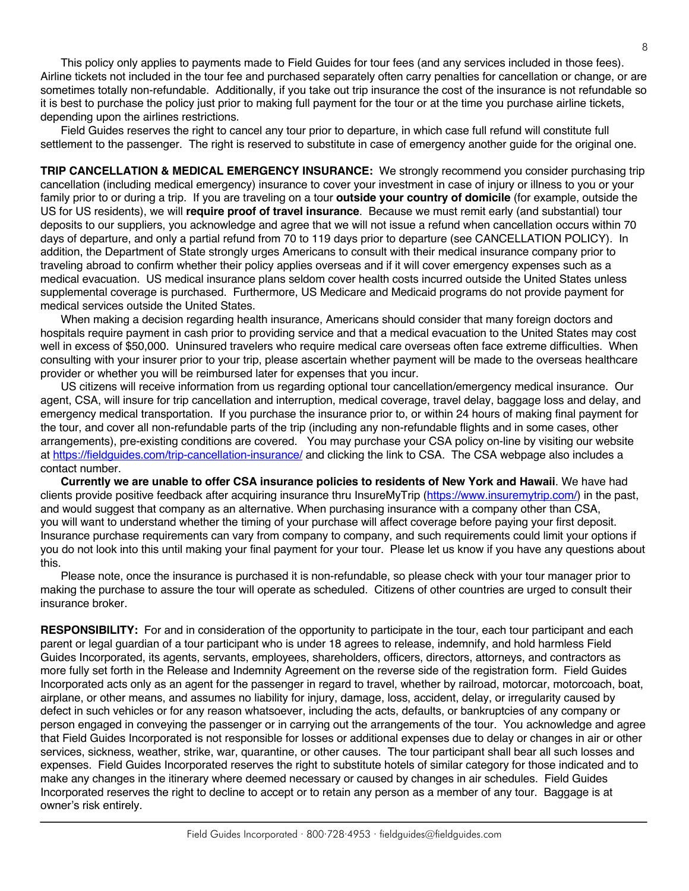This policy only applies to payments made to Field Guides for tour fees (and any services included in those fees). Airline tickets not included in the tour fee and purchased separately often carry penalties for cancellation or change, or are sometimes totally non-refundable. Additionally, if you take out trip insurance the cost of the insurance is not refundable so it is best to purchase the policy just prior to making full payment for the tour or at the time you purchase airline tickets, depending upon the airlines restrictions.

Field Guides reserves the right to cancel any tour prior to departure, in which case full refund will constitute full settlement to the passenger. The right is reserved to substitute in case of emergency another guide for the original one.

**TRIP CANCELLATION & MEDICAL EMERGENCY INSURANCE:** We strongly recommend you consider purchasing trip cancellation (including medical emergency) insurance to cover your investment in case of injury or illness to you or your family prior to or during a trip. If you are traveling on a tour **outside your country of domicile** (for example, outside the US for US residents), we will **require proof of travel insurance**. Because we must remit early (and substantial) tour deposits to our suppliers, you acknowledge and agree that we will not issue a refund when cancellation occurs within 70 days of departure, and only a partial refund from 70 to 119 days prior to departure (see CANCELLATION POLICY). In addition, the Department of State strongly urges Americans to consult with their medical insurance company prior to traveling abroad to confirm whether their policy applies overseas and if it will cover emergency expenses such as a medical evacuation. US medical insurance plans seldom cover health costs incurred outside the United States unless supplemental coverage is purchased. Furthermore, US Medicare and Medicaid programs do not provide payment for medical services outside the United States.

When making a decision regarding health insurance, Americans should consider that many foreign doctors and hospitals require payment in cash prior to providing service and that a medical evacuation to the United States may cost well in excess of \$50,000. Uninsured travelers who require medical care overseas often face extreme difficulties. When consulting with your insurer prior to your trip, please ascertain whether payment will be made to the overseas healthcare provider or whether you will be reimbursed later for expenses that you incur.

US citizens will receive information from us regarding optional tour cancellation/emergency medical insurance. Our agent, CSA, will insure for trip cancellation and interruption, medical coverage, travel delay, baggage loss and delay, and emergency medical transportation. If you purchase the insurance prior to, or within 24 hours of making final payment for the tour, and cover all non-refundable parts of the trip (including any non-refundable flights and in some cases, other arrangements), pre-existing conditions are covered. You may purchase your CSA policy on-line by visiting our website at https://fieldguides.com/trip-cancellation-insurance/ and clicking the link to CSA. The CSA webpage also includes a contact number.

**Currently we are unable to offer CSA insurance policies to residents of New York and Hawaii**. We have had clients provide positive feedback after acquiring insurance thru InsureMyTrip (https://www.insuremytrip.com/) in the past, and would suggest that company as an alternative. When purchasing insurance with a company other than CSA, you will want to understand whether the timing of your purchase will affect coverage before paying your first deposit. Insurance purchase requirements can vary from company to company, and such requirements could limit your options if you do not look into this until making your final payment for your tour. Please let us know if you have any questions about this.

Please note, once the insurance is purchased it is non-refundable, so please check with your tour manager prior to making the purchase to assure the tour will operate as scheduled. Citizens of other countries are urged to consult their insurance broker.

**RESPONSIBILITY:** For and in consideration of the opportunity to participate in the tour, each tour participant and each parent or legal guardian of a tour participant who is under 18 agrees to release, indemnify, and hold harmless Field Guides Incorporated, its agents, servants, employees, shareholders, officers, directors, attorneys, and contractors as more fully set forth in the Release and Indemnity Agreement on the reverse side of the registration form. Field Guides Incorporated acts only as an agent for the passenger in regard to travel, whether by railroad, motorcar, motorcoach, boat, airplane, or other means, and assumes no liability for injury, damage, loss, accident, delay, or irregularity caused by defect in such vehicles or for any reason whatsoever, including the acts, defaults, or bankruptcies of any company or person engaged in conveying the passenger or in carrying out the arrangements of the tour. You acknowledge and agree that Field Guides Incorporated is not responsible for losses or additional expenses due to delay or changes in air or other services, sickness, weather, strike, war, quarantine, or other causes. The tour participant shall bear all such losses and expenses. Field Guides Incorporated reserves the right to substitute hotels of similar category for those indicated and to make any changes in the itinerary where deemed necessary or caused by changes in air schedules. Field Guides Incorporated reserves the right to decline to accept or to retain any person as a member of any tour. Baggage is at owner's risk entirely.